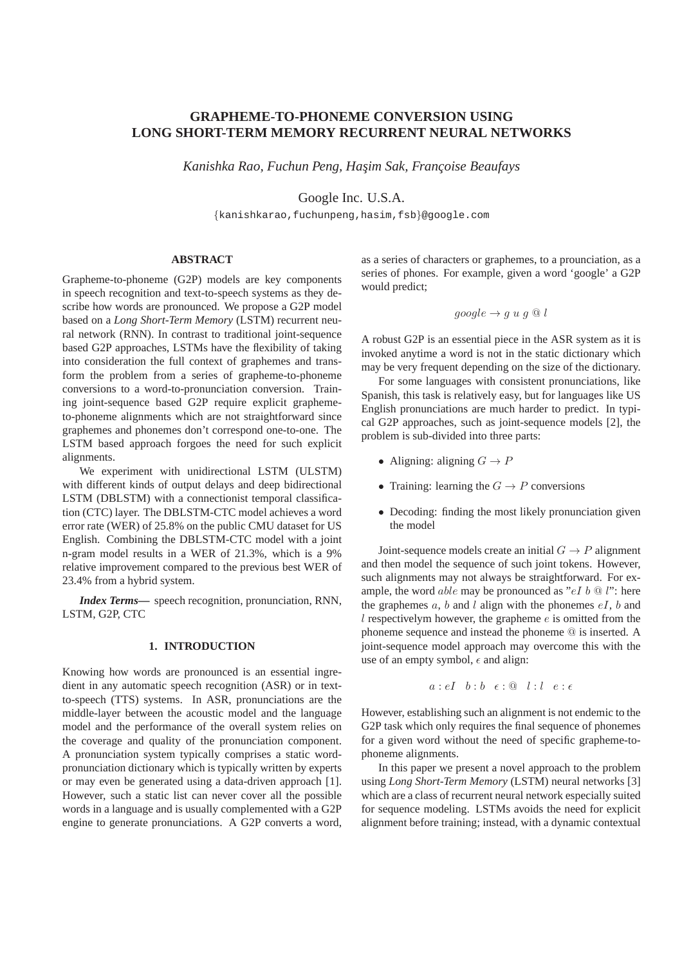# **GRAPHEME-TO-PHONEME CONVERSION USING LONG SHORT-TERM MEMORY RECURRENT NEURAL NETWORKS**

Kanishka Rao, Fuchun Peng, Hasim Sak, Françoise Beaufays

Google Inc. U.S.A.

{kanishkarao,fuchunpeng,hasim,fsb}@google.com

# **ABSTRACT**

Grapheme-to-phoneme (G2P) models are key components in speech recognition and text-to-speech systems as they describe how words are pronounced. We propose a G2P model based on a *Long Short-Term Memory* (LSTM) recurrent neural network (RNN). In contrast to traditional joint-sequence based G2P approaches, LSTMs have the flexibility of taking into consideration the full context of graphemes and transform the problem from a series of grapheme-to-phoneme conversions to a word-to-pronunciation conversion. Training joint-sequence based G2P require explicit graphemeto-phoneme alignments which are not straightforward since graphemes and phonemes don't correspond one-to-one. The LSTM based approach forgoes the need for such explicit alignments.

We experiment with unidirectional LSTM (ULSTM) with different kinds of output delays and deep bidirectional LSTM (DBLSTM) with a connectionist temporal classification (CTC) layer. The DBLSTM-CTC model achieves a word error rate (WER) of 25.8% on the public CMU dataset for US English. Combining the DBLSTM-CTC model with a joint n-gram model results in a WER of 21.3%, which is a 9% relative improvement compared to the previous best WER of 23.4% from a hybrid system.

*Index Terms***—** speech recognition, pronunciation, RNN, LSTM, G2P, CTC

# **1. INTRODUCTION**

Knowing how words are pronounced is an essential ingredient in any automatic speech recognition (ASR) or in textto-speech (TTS) systems. In ASR, pronunciations are the middle-layer between the acoustic model and the language model and the performance of the overall system relies on the coverage and quality of the pronunciation component. A pronunciation system typically comprises a static wordpronunciation dictionary which is typically written by experts or may even be generated using a data-driven approach [1]. However, such a static list can never cover all the possible words in a language and is usually complemented with a G2P engine to generate pronunciations. A G2P converts a word,

as a series of characters or graphemes, to a prounciation, as a series of phones. For example, given a word 'google' a G2P would predict:

$$
google \rightarrow g u g @ l
$$

A robust G2P is an essential piece in the ASR system as it is invoked anytime a word is not in the static dictionary which may be very frequent depending on the size of the dictionary.

For some languages with consistent pronunciations, like Spanish, this task is relatively easy, but for languages like US English pronunciations are much harder to predict. In typical G2P approaches, such as joint-sequence models [2], the problem is sub-divided into three parts:

- Aligning: aligning  $G \to P$
- Training: learning the  $G \to P$  conversions
- Decoding: finding the most likely pronunciation given the model

Joint-sequence models create an initial  $G \rightarrow P$  alignment and then model the sequence of such joint tokens. However, such alignments may not always be straightforward. For example, the word *able* may be pronounced as " $eI b @ l$ ": here the graphemes  $a, b$  and l align with the phonemes  $eI, b$  and  $l$  respectivelym however, the grapheme  $e$  is omitted from the phoneme sequence and instead the phoneme @ is inserted. A joint-sequence model approach may overcome this with the use of an empty symbol,  $\epsilon$  and align:

$$
a:eI \quad b:b\quad \epsilon : @ \quad l:l \quad e:\epsilon
$$

However, establishing such an alignment is not endemic to the G2P task which only requires the final sequence of phonemes for a given word without the need of specific grapheme-tophoneme alignments.

In this paper we present a novel approach to the problem using *Long Short-Term Memory* (LSTM) neural networks [3] which are a class of recurrent neural network especially suited for sequence modeling. LSTMs avoids the need for explicit alignment before training; instead, with a dynamic contextual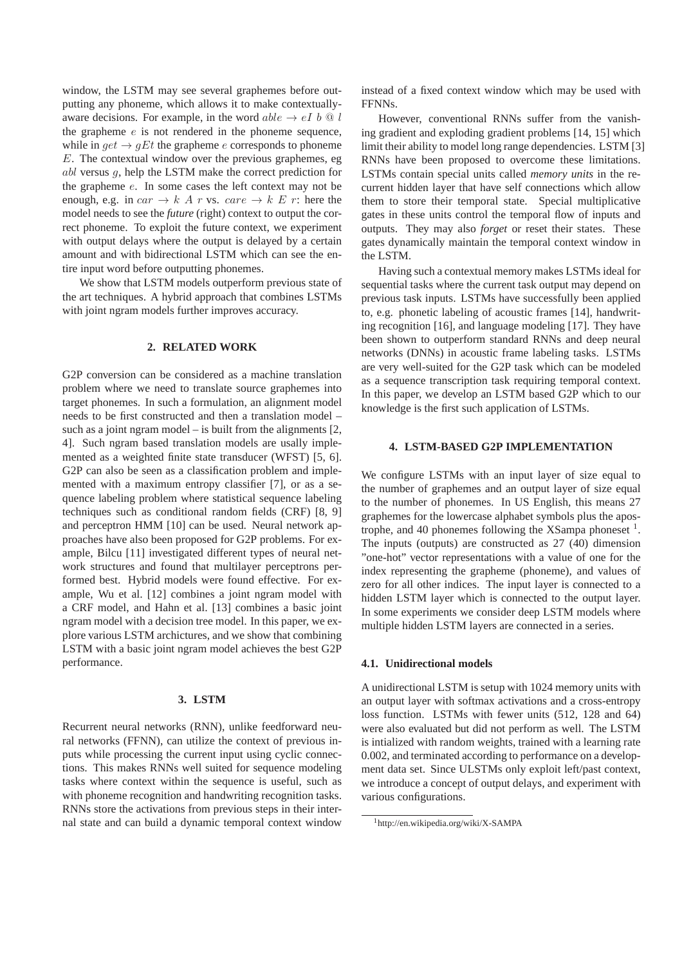window, the LSTM may see several graphemes before outputting any phoneme, which allows it to make contextuallyaware decisions. For example, in the word  $able \rightarrow eI b \otimes l$ the grapheme  $e$  is not rendered in the phoneme sequence, while in  $get \rightarrow qEt$  the grapheme e corresponds to phoneme E. The contextual window over the previous graphemes, eg abl versus g, help the LSTM make the correct prediction for the grapheme e. In some cases the left context may not be enough, e.g. in  $car \rightarrow k \land r$  vs.  $care \rightarrow k \not\sqsubseteq r$ : here the model needs to see the *future* (right) context to output the correct phoneme. To exploit the future context, we experiment with output delays where the output is delayed by a certain amount and with bidirectional LSTM which can see the entire input word before outputting phonemes.

We show that LSTM models outperform previous state of the art techniques. A hybrid approach that combines LSTMs with joint ngram models further improves accuracy.

# **2. RELATED WORK**

G2P conversion can be considered as a machine translation problem where we need to translate source graphemes into target phonemes. In such a formulation, an alignment model needs to be first constructed and then a translation model – such as a joint ngram model – is built from the alignments  $[2, \frac{1}{2}]$ 4]. Such ngram based translation models are usally implemented as a weighted finite state transducer (WFST) [5, 6]. G2P can also be seen as a classification problem and implemented with a maximum entropy classifier [7], or as a sequence labeling problem where statistical sequence labeling techniques such as conditional random fields (CRF) [8, 9] and perceptron HMM [10] can be used. Neural network approaches have also been proposed for G2P problems. For example, Bilcu [11] investigated different types of neural network structures and found that multilayer perceptrons performed best. Hybrid models were found effective. For example, Wu et al. [12] combines a joint ngram model with a CRF model, and Hahn et al. [13] combines a basic joint ngram model with a decision tree model. In this paper, we explore various LSTM archictures, and we show that combining LSTM with a basic joint ngram model achieves the best G2P performance.

# **3. LSTM**

Recurrent neural networks (RNN), unlike feedforward neural networks (FFNN), can utilize the context of previous inputs while processing the current input using cyclic connections. This makes RNNs well suited for sequence modeling tasks where context within the sequence is useful, such as with phoneme recognition and handwriting recognition tasks. RNNs store the activations from previous steps in their internal state and can build a dynamic temporal context window instead of a fixed context window which may be used with FFNNs.

However, conventional RNNs suffer from the vanishing gradient and exploding gradient problems [14, 15] which limit their ability to model long range dependencies. LSTM [3] RNNs have been proposed to overcome these limitations. LSTMs contain special units called *memory units* in the recurrent hidden layer that have self connections which allow them to store their temporal state. Special multiplicative gates in these units control the temporal flow of inputs and outputs. They may also *forget* or reset their states. These gates dynamically maintain the temporal context window in the LSTM.

Having such a contextual memory makes LSTMs ideal for sequential tasks where the current task output may depend on previous task inputs. LSTMs have successfully been applied to, e.g. phonetic labeling of acoustic frames [14], handwriting recognition [16], and language modeling [17]. They have been shown to outperform standard RNNs and deep neural networks (DNNs) in acoustic frame labeling tasks. LSTMs are very well-suited for the G2P task which can be modeled as a sequence transcription task requiring temporal context. In this paper, we develop an LSTM based G2P which to our knowledge is the first such application of LSTMs.

# **4. LSTM-BASED G2P IMPLEMENTATION**

We configure LSTMs with an input layer of size equal to the number of graphemes and an output layer of size equal to the number of phonemes. In US English, this means 27 graphemes for the lowercase alphabet symbols plus the apostrophe, and 40 phonemes following the XSampa phoneset  $<sup>1</sup>$ .</sup> The inputs (outputs) are constructed as 27 (40) dimension "one-hot" vector representations with a value of one for the index representing the grapheme (phoneme), and values of zero for all other indices. The input layer is connected to a hidden LSTM layer which is connected to the output layer. In some experiments we consider deep LSTM models where multiple hidden LSTM layers are connected in a series.

#### **4.1. Unidirectional models**

A unidirectional LSTM is setup with 1024 memory units with an output layer with softmax activations and a cross-entropy loss function. LSTMs with fewer units (512, 128 and 64) were also evaluated but did not perform as well. The LSTM is intialized with random weights, trained with a learning rate 0.002, and terminated according to performance on a development data set. Since ULSTMs only exploit left/past context, we introduce a concept of output delays, and experiment with various configurations.

<sup>1</sup>http://en.wikipedia.org/wiki/X-SAMPA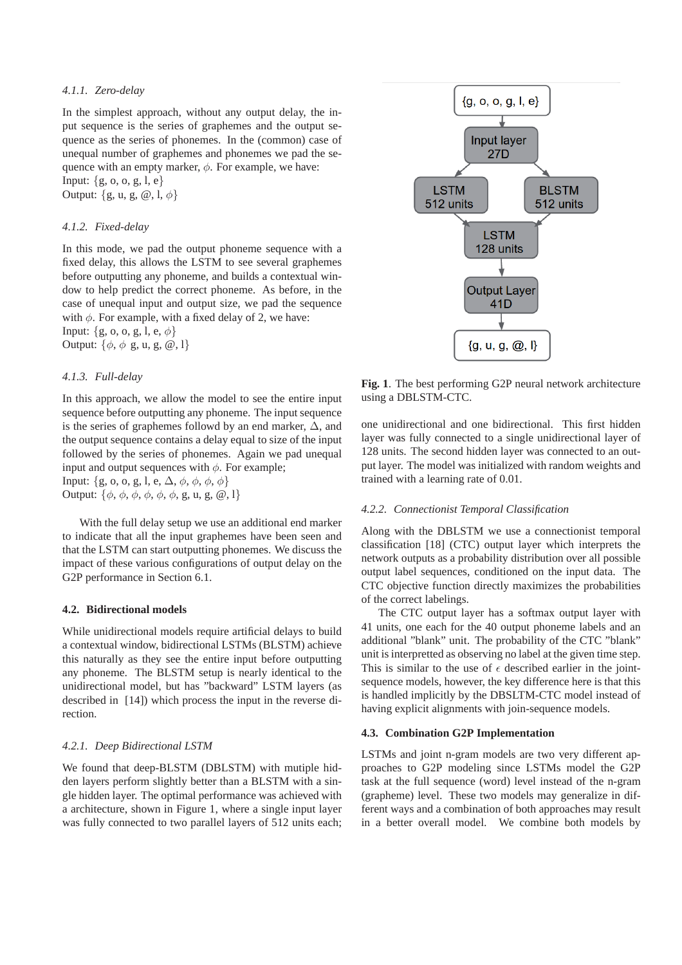# *4.1.1. Zero-delay*

In the simplest approach, without any output delay, the input sequence is the series of graphemes and the output sequence as the series of phonemes. In the (common) case of unequal number of graphemes and phonemes we pad the sequence with an empty marker,  $\phi$ . For example, we have: Input: {g, o, o, g, l, e} Output:  $\{g, u, g, \omega, l, \phi\}$ 

#### *4.1.2. Fixed-delay*

In this mode, we pad the output phoneme sequence with a fixed delay, this allows the LSTM to see several graphemes before outputting any phoneme, and builds a contextual window to help predict the correct phoneme. As before, in the case of unequal input and output size, we pad the sequence with  $\phi$ . For example, with a fixed delay of 2, we have: Input:  $\{g, o, o, g, l, e, \phi\}$ Output:  $\{\phi, \phi \text{ g}, \text{ u}, \text{ g}, \text{ }^{\circ}\!\!\!\!\omega, 1\}$ 

#### *4.1.3. Full-delay*

In this approach, we allow the model to see the entire input sequence before outputting any phoneme. The input sequence is the series of graphemes followd by an end marker,  $\Delta$ , and the output sequence contains a delay equal to size of the input followed by the series of phonemes. Again we pad unequal input and output sequences with  $\phi$ . For example; Input:  $\{g, o, o, g, l, e, \Delta, \phi, \phi, \phi, \phi\}$ Output:  $\{\phi, \phi, \phi, \phi, \phi, \phi, g, u, g, \omega, l\}$ 

With the full delay setup we use an additional end marker to indicate that all the input graphemes have been seen and that the LSTM can start outputting phonemes. We discuss the impact of these various configurations of output delay on the G2P performance in Section 6.1.

#### **4.2. Bidirectional models**

While unidirectional models require artificial delays to build a contextual window, bidirectional LSTMs (BLSTM) achieve this naturally as they see the entire input before outputting any phoneme. The BLSTM setup is nearly identical to the unidirectional model, but has "backward" LSTM layers (as described in [14]) which process the input in the reverse direction.

#### *4.2.1. Deep Bidirectional LSTM*

We found that deep-BLSTM (DBLSTM) with mutiple hidden layers perform slightly better than a BLSTM with a single hidden layer. The optimal performance was achieved with a architecture, shown in Figure 1, where a single input layer was fully connected to two parallel layers of 512 units each;



**Fig. 1**. The best performing G2P neural network architecture using a DBLSTM-CTC.

one unidirectional and one bidirectional. This first hidden layer was fully connected to a single unidirectional layer of 128 units. The second hidden layer was connected to an output layer. The model was initialized with random weights and trained with a learning rate of 0.01.

# *4.2.2. Connectionist Temporal Classification*

Along with the DBLSTM we use a connectionist temporal classification [18] (CTC) output layer which interprets the network outputs as a probability distribution over all possible output label sequences, conditioned on the input data. The CTC objective function directly maximizes the probabilities of the correct labelings.

The CTC output layer has a softmax output layer with 41 units, one each for the 40 output phoneme labels and an additional "blank" unit. The probability of the CTC "blank" unit is interpretted as observing no label at the given time step. This is similar to the use of  $\epsilon$  described earlier in the jointsequence models, however, the key difference here is that this is handled implicitly by the DBSLTM-CTC model instead of having explicit alignments with join-sequence models.

#### **4.3. Combination G2P Implementation**

LSTMs and joint n-gram models are two very different approaches to G2P modeling since LSTMs model the G2P task at the full sequence (word) level instead of the n-gram (grapheme) level. These two models may generalize in different ways and a combination of both approaches may result in a better overall model. We combine both models by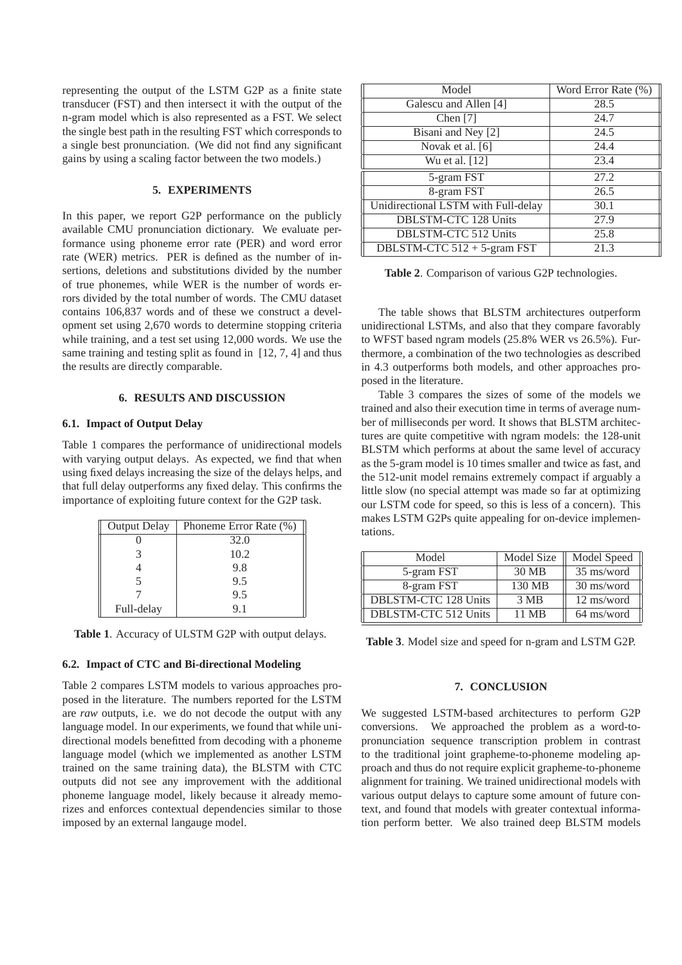representing the output of the LSTM G2P as a finite state transducer (FST) and then intersect it with the output of the n-gram model which is also represented as a FST. We select the single best path in the resulting FST which corresponds to a single best pronunciation. (We did not find any significant gains by using a scaling factor between the two models.)

# **5. EXPERIMENTS**

In this paper, we report G2P performance on the publicly available CMU pronunciation dictionary. We evaluate performance using phoneme error rate (PER) and word error rate (WER) metrics. PER is defined as the number of insertions, deletions and substitutions divided by the number of true phonemes, while WER is the number of words errors divided by the total number of words. The CMU dataset contains 106,837 words and of these we construct a development set using 2,670 words to determine stopping criteria while training, and a test set using 12,000 words. We use the same training and testing split as found in [12, 7, 4] and thus the results are directly comparable.

# **6. RESULTS AND DISCUSSION**

# **6.1. Impact of Output Delay**

Table 1 compares the performance of unidirectional models with varying output delays. As expected, we find that when using fixed delays increasing the size of the delays helps, and that full delay outperforms any fixed delay. This confirms the importance of exploiting future context for the G2P task.

| <b>Output Delay</b> | Phoneme Error Rate (%) |
|---------------------|------------------------|
|                     | 32.0                   |
|                     | 10.2                   |
|                     | 9.8                    |
|                     | 9.5                    |
|                     | 9.5                    |
| Full-delay          | 91                     |

**Table 1**. Accuracy of ULSTM G2P with output delays.

#### **6.2. Impact of CTC and Bi-directional Modeling**

Table 2 compares LSTM models to various approaches proposed in the literature. The numbers reported for the LSTM are *raw* outputs, i.e. we do not decode the output with any language model. In our experiments, we found that while unidirectional models benefitted from decoding with a phoneme language model (which we implemented as another LSTM trained on the same training data), the BLSTM with CTC outputs did not see any improvement with the additional phoneme language model, likely because it already memorizes and enforces contextual dependencies similar to those imposed by an external langauge model.

| Model                               | Word Error Rate (%) |
|-------------------------------------|---------------------|
| Galescu and Allen [4]               | 28.5                |
| Chen $[7]$                          | 24.7                |
| Bisani and Ney [2]                  | 24.5                |
| Novak et al. [6]                    | 24.4                |
| Wu et al. [12]                      | 23.4                |
| 5-gram FST                          | 27.2                |
| 8-gram FST                          | 26.5                |
| Unidirectional LSTM with Full-delay | 30.1                |
| <b>DBLSTM-CTC 128 Units</b>         | 27.9                |
| <b>DBLSTM-CTC 512 Units</b>         | 25.8                |
| DBLSTM-CTC $512 + 5$ -gram FST      | 21.3                |

**Table 2**. Comparison of various G2P technologies.

The table shows that BLSTM architectures outperform unidirectional LSTMs, and also that they compare favorably to WFST based ngram models (25.8% WER vs 26.5%). Furthermore, a combination of the two technologies as described in 4.3 outperforms both models, and other approaches proposed in the literature.

Table 3 compares the sizes of some of the models we trained and also their execution time in terms of average number of milliseconds per word. It shows that BLSTM architectures are quite competitive with ngram models: the 128-unit BLSTM which performs at about the same level of accuracy as the 5-gram model is 10 times smaller and twice as fast, and the 512-unit model remains extremely compact if arguably a little slow (no special attempt was made so far at optimizing our LSTM code for speed, so this is less of a concern). This makes LSTM G2Ps quite appealing for on-device implementations.

| Model                       | Model Size | Model Speed |
|-----------------------------|------------|-------------|
| 5-gram FST                  | 30 MB      | 35 ms/word  |
| 8-gram FST                  | 130 MB     | 30 ms/word  |
| DBLSTM-CTC 128 Units        | 3 MB       | 12 ms/word  |
| <b>DBLSTM-CTC 512 Units</b> | 11 MB      | 64 ms/word  |

**Table 3**. Model size and speed for n-gram and LSTM G2P.

## **7. CONCLUSION**

We suggested LSTM-based architectures to perform G2P conversions. We approached the problem as a word-topronunciation sequence transcription problem in contrast to the traditional joint grapheme-to-phoneme modeling approach and thus do not require explicit grapheme-to-phoneme alignment for training. We trained unidirectional models with various output delays to capture some amount of future context, and found that models with greater contextual information perform better. We also trained deep BLSTM models